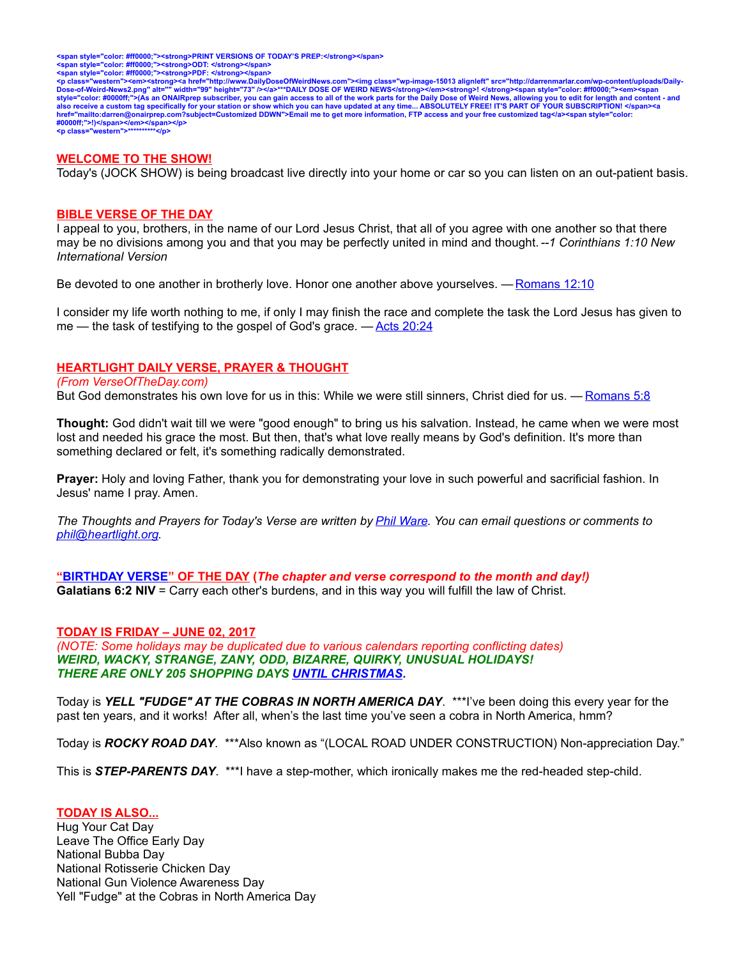<span style="color: #ff0000;"><strong>PRINT VERSIONS OF TODAY'S PREP:</strong></span><br><span style="color: #ff0000;"><strong>ODT: </strong></span><br><span style="color: #ff0000;"><strong>PDF: </strong></span>

<p class="western"><em><strong><a href="http://www.DailyDoseOfWeirdNews.com"><img class="wp-image-15013 alignleft" src="http://darrenmarlar.com/wp-content/uploads/Daily-<br>Dose-of-Weird-News2.png" alt="" width="99" height=" **#0000ff;">!)</span></em></span></p> <p class="western">\*\*\*\*\*\*\*\*\*\*</p>**

#### **WELCOME TO THE SHOW!**

Today's (JOCK SHOW) is being broadcast live directly into your home or car so you can listen on an out-patient basis.

#### **BIBLE VERSE OF THE DAY**

I appeal to you, brothers, in the name of our Lord Jesus Christ, that all of you agree with one another so that there may be no divisions among you and that you may be perfectly united in mind and thought. *--1 Corinthians 1:10 New International Version*

Be devoted to one another in brotherly love. Honor one another above yourselves. — [Romans 12:10](http://www.biblestudytools.com/search/?query=Romans+12:10&t=niv)

I consider my life worth nothing to me, if only I may finish the race and complete the task the Lord Jesus has given to me — the task of testifying to the gospel of God's grace. — [Acts 20:24](http://bible.faithlife.com/bible/niv/Acts20.24)

#### **HEARTLIGHT DAILY VERSE, PRAYER & THOUGHT**

#### *(From VerseOfTheDay.com)*

But God demonstrates his own love for us in this: While we were still sinners, Christ died for us. — [Romans 5:8](http://bible.faithlife.com/bible/niv/Romans5.8)

**Thought:** God didn't wait till we were "good enough" to bring us his salvation. Instead, he came when we were most lost and needed his grace the most. But then, that's what love really means by God's definition. It's more than something declared or felt, it's something radically demonstrated.

**Prayer:** Holy and loving Father, thank you for demonstrating your love in such powerful and sacrificial fashion. In Jesus' name I pray. Amen.

*The Thoughts and Prayers for Today's Verse are written by [Phil Ware.](mailto:phil@heartlight.org) You can email questions or comments to [phil@heartlight.org.](mailto:phil@heartlight.org)*

 **["BIRTHDAY VERSE"](http://67.59.170.133/) OF THE DAY (***The chapter and verse correspond to the month and day!)* **Galatians 6:2 NIV** = Carry each other's burdens, and in this way you will fulfill the law of Christ.

#### **TODAY IS FRIDAY – JUNE 02, 2017**

*(NOTE: Some holidays may be duplicated due to various calendars reporting conflicting dates) WEIRD, WACKY, STRANGE, ZANY, ODD, BIZARRE, QUIRKY, UNUSUAL HOLIDAYS! THERE ARE ONLY 205 SHOPPING DAYS [UNTIL CHRISTMAS.](http://days.to/until/christmas)*

Today is *YELL "FUDGE" AT THE COBRAS IN NORTH AMERICA DAY*. \*\*\*I've been doing this every year for the past ten years, and it works! After all, when's the last time you've seen a cobra in North America, hmm?

Today is *ROCKY ROAD DAY*. \*\*\*Also known as "(LOCAL ROAD UNDER CONSTRUCTION) Non-appreciation Day."

This is *STEP-PARENTS DAY*. \*\*\*I have a step-mother, which ironically makes me the red-headed step-child.

#### **TODAY IS ALSO...**

Hug Your Cat Day Leave The Office Early Day National Bubba Day National Rotisserie Chicken Day National Gun Violence Awareness Day Yell "Fudge" at the Cobras in North America Day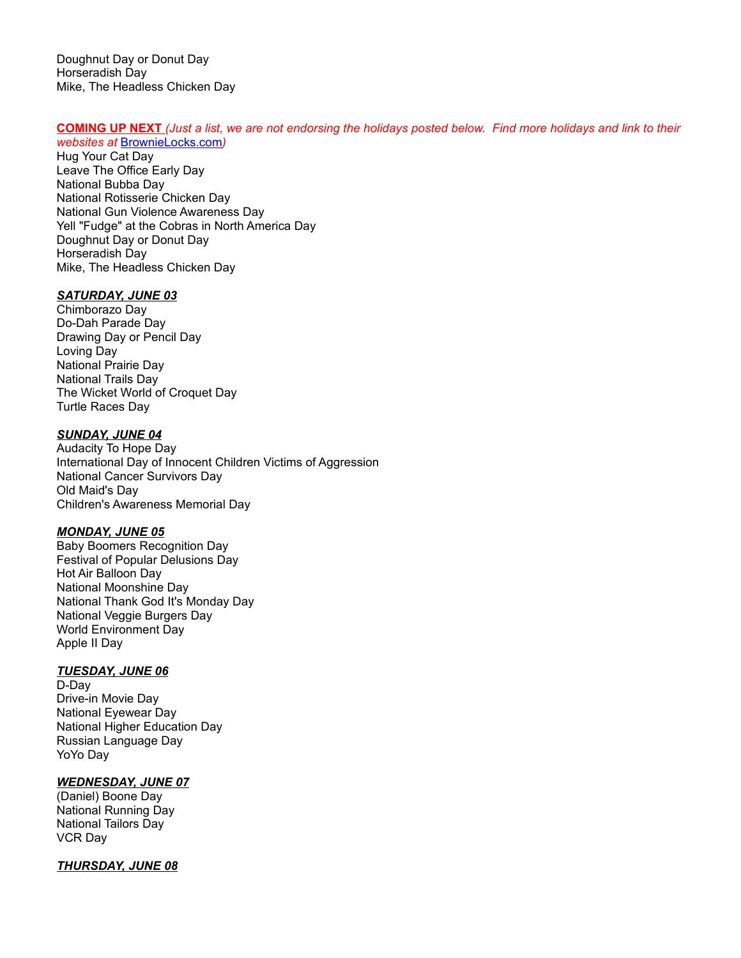Doughnut Day or Donut Day Horseradish Day Mike, The Headless Chicken Day

# **COMING UP NEXT** *(Just a list, we are not endorsing the holidays posted below. Find more holidays and link to their*

*websites at* [BrownieLocks.com](https://www.brownielocks.com/month2.html)*)* Hug Your Cat Day Leave The Office Early Day National Bubba Day National Rotisserie Chicken Day National Gun Violence Awareness Day Yell "Fudge" at the Cobras in North America Day Doughnut Day or Donut Day Horseradish Day Mike, The Headless Chicken Day

# *SATURDAY, JUNE 03*

Chimborazo Day Do-Dah Parade Day Drawing Day or Pencil Day Loving Day National Prairie Day National Trails Day The Wicket World of Croquet Day Turtle Races Day

# *SUNDAY, JUNE 04*

Audacity To Hope Day International Day of Innocent Children Victims of Aggression National Cancer Survivors Day Old Maid's Day Children's Awareness Memorial Day

# *MONDAY, JUNE 05*

Baby Boomers Recognition Day Festival of Popular Delusions Day Hot Air Balloon Day National Moonshine Day National Thank God It's Monday Day National Veggie Burgers Day World Environment Day Apple II Day

## *TUESDAY, JUNE 06*

D-Day Drive-in Movie Day National Eyewear Day National Higher Education Day Russian Language Day YoYo Day

# *WEDNESDAY, JUNE 07*

(Daniel) Boone Day National Running Day National Tailors Day VCR Day

# *THURSDAY, JUNE 08*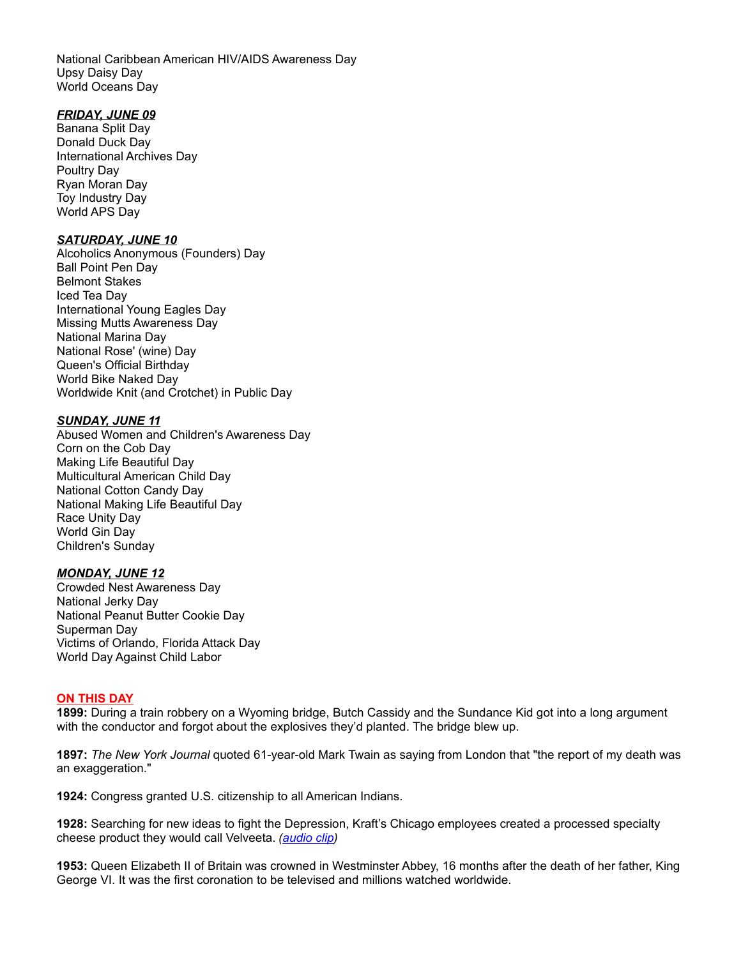National Caribbean American HIV/AIDS Awareness Day Upsy Daisy Day World Oceans Day

#### *FRIDAY, JUNE 09*

Banana Split Day Donald Duck Day International Archives Day Poultry Day Ryan Moran Day Toy Industry Day World APS Day

## *SATURDAY, JUNE 10*

Alcoholics Anonymous (Founders) Day Ball Point Pen Day Belmont Stakes Iced Tea Day International Young Eagles Day Missing Mutts Awareness Day National Marina Day National Rose' (wine) Day Queen's Official Birthday World Bike Naked Day Worldwide Knit (and Crotchet) in Public Day

#### *SUNDAY, JUNE 11*

Abused Women and Children's Awareness Day Corn on the Cob Day Making Life Beautiful Day Multicultural American Child Day National Cotton Candy Day National Making Life Beautiful Day Race Unity Day World Gin Day Children's Sunday

# *MONDAY, JUNE 12*

Crowded Nest Awareness Day National Jerky Day National Peanut Butter Cookie Day Superman Day Victims of Orlando, Florida Attack Day World Day Against Child Labor

## **ON THIS DAY**

**1899:** During a train robbery on a Wyoming bridge, Butch Cassidy and the Sundance Kid got into a long argument with the conductor and forgot about the explosives they'd planted. The bridge blew up.

**1897:** *The New York Journal* quoted 61-year-old Mark Twain as saying from London that "the report of my death was an exaggeration."

**1924:** Congress granted U.S. citizenship to all American Indians.

**1928:** Searching for new ideas to fight the Depression, Kraft's Chicago employees created a processed specialty cheese product they would call Velveeta. *[\(audio clip\)](http://www.darrenmarlar.com/audio/PowerOfCheese.mp3)*

**1953:** Queen Elizabeth II of Britain was crowned in Westminster Abbey, 16 months after the death of her father, King George VI. It was the first coronation to be televised and millions watched worldwide.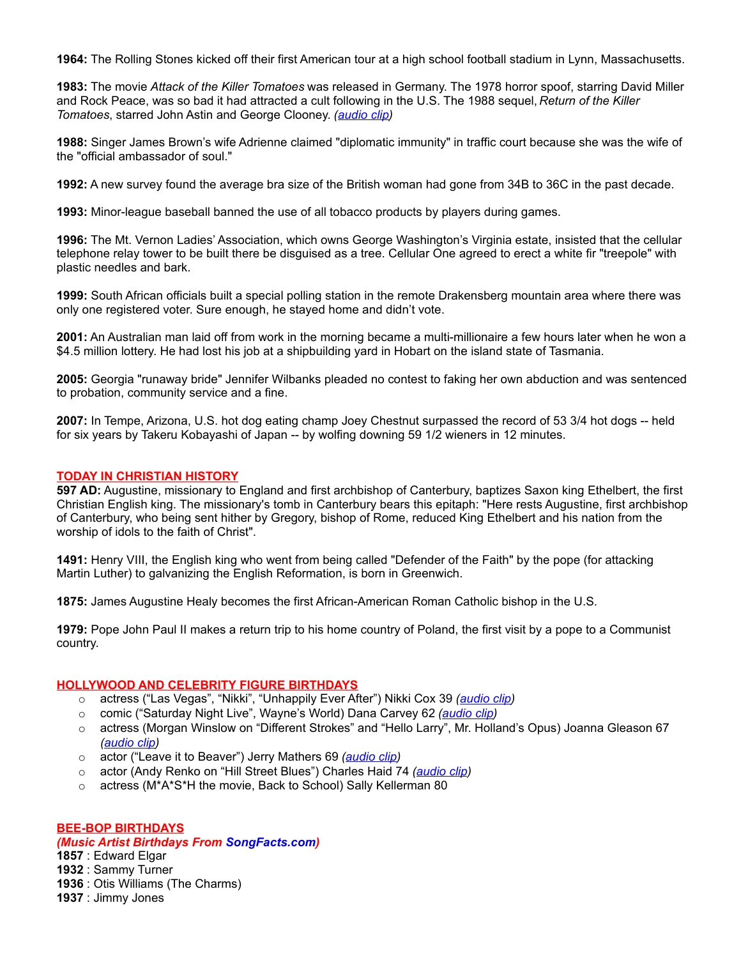**1964:** The Rolling Stones kicked off their first American tour at a high school football stadium in Lynn, Massachusetts.

**1983:** The movie *Attack of the Killer Tomatoes* was released in Germany. The 1978 horror spoof, starring David Miller and Rock Peace, was so bad it had attracted a cult following in the U.S. The 1988 sequel, *Return of the Killer Tomatoes*, starred John Astin and George Clooney. *[\(audio clip\)](http://www.darrenmarlar.com/audio/MOVIE-AttackOfTheKillerTomatoes.mp3)*

**1988:** Singer James Brown's wife Adrienne claimed "diplomatic immunity" in traffic court because she was the wife of the "official ambassador of soul."

**1992:** A new survey found the average bra size of the British woman had gone from 34B to 36C in the past decade.

**1993:** Minor-league baseball banned the use of all tobacco products by players during games.

**1996:** The Mt. Vernon Ladies' Association, which owns George Washington's Virginia estate, insisted that the cellular telephone relay tower to be built there be disguised as a tree. Cellular One agreed to erect a white fir "treepole" with plastic needles and bark.

**1999:** South African officials built a special polling station in the remote Drakensberg mountain area where there was only one registered voter. Sure enough, he stayed home and didn't vote.

**2001:** An Australian man laid off from work in the morning became a multi-millionaire a few hours later when he won a \$4.5 million lottery. He had lost his job at a shipbuilding yard in Hobart on the island state of Tasmania.

**2005:** Georgia "runaway bride" Jennifer Wilbanks pleaded no contest to faking her own abduction and was sentenced to probation, community service and a fine.

**2007:** In Tempe, Arizona, U.S. hot dog eating champ Joey Chestnut surpassed the record of 53 3/4 hot dogs -- held for six years by Takeru Kobayashi of Japan -- by wolfing downing 59 1/2 wieners in 12 minutes.

#### **TODAY IN CHRISTIAN HISTORY**

**597 AD:** Augustine, missionary to England and first archbishop of Canterbury, baptizes Saxon king Ethelbert, the first Christian English king. The missionary's tomb in Canterbury bears this epitaph: "Here rests Augustine, first archbishop of Canterbury, who being sent hither by Gregory, bishop of Rome, reduced King Ethelbert and his nation from the worship of idols to the faith of Christ".

**1491:** Henry VIII, the English king who went from being called "Defender of the Faith" by the pope (for attacking Martin Luther) to galvanizing the English Reformation, is born in Greenwich.

**1875:** James Augustine Healy becomes the first African-American Roman Catholic bishop in the U.S.

**1979:** Pope John Paul II makes a return trip to his home country of Poland, the first visit by a pope to a Communist country.

## **HOLLYWOOD AND CELEBRITY FIGURE BIRTHDAYS**

- o actress ("Las Vegas", "Nikki", "Unhappily Ever After") Nikki Cox 39 *[\(audio clip\)](http://www.darrenmarlar.com/audio/TV-LasVegas.mp3)*
- o comic ("Saturday Night Live", Wayne's World) Dana Carvey 62 *[\(audio clip\)](http://www.darrenmarlar.com/audio/WaynesWorld.mp3)*
- o actress (Morgan Winslow on "Different Strokes" and "Hello Larry", Mr. Holland's Opus) Joanna Gleason 67 *[\(audio clip\)](http://www.darrenmarlar.com/audio/TV-HelloLarry.mp3)*
- o actor ("Leave it to Beaver") Jerry Mathers 69 *[\(audio clip\)](http://www.darrenmarlar.com/audio/TV-LeaveItToBeaver.mp3)*
- o actor (Andy Renko on "Hill Street Blues") Charles Haid 74 *[\(audio clip\)](http://www.darrenmarlar.com/audio/TV-HillStreetBlues.mp3)*
- o actress (M\*A\*S\*H the movie, Back to School) Sally Kellerman 80

#### **BEE-BOP BIRTHDAYS**

#### *(Music Artist Birthdays From [SongFacts.com\)](http://calendar.songfacts.com/)*

**1857** : Edward Elgar

**1932** : Sammy Turner

**1936** : Otis Williams (The Charms)

**1937** : Jimmy Jones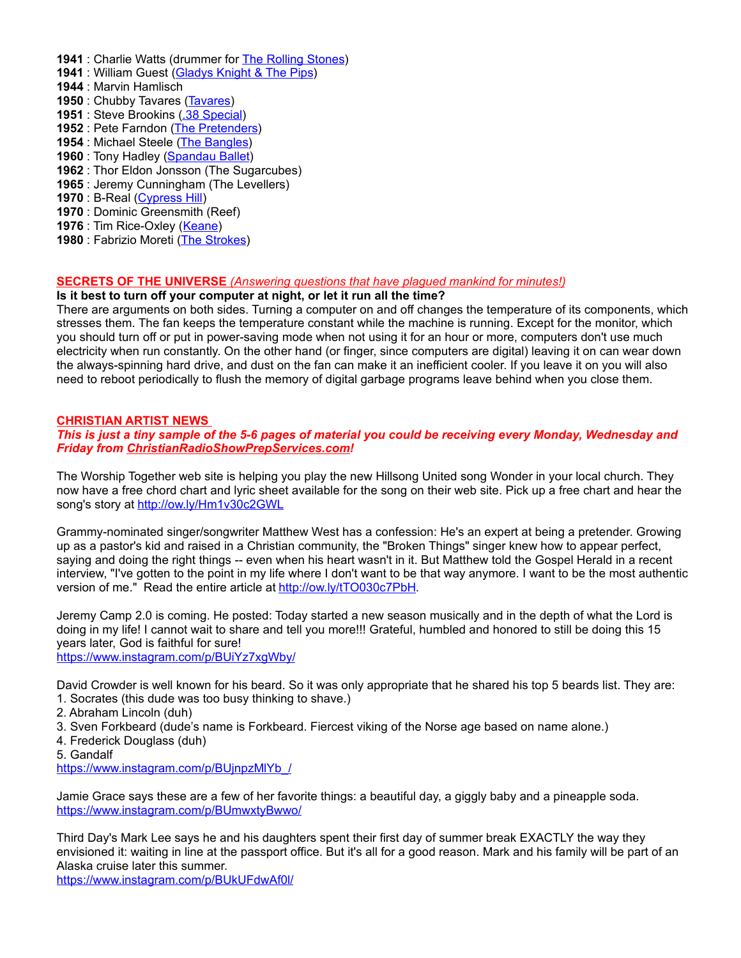- **1941** : Charlie Watts (drummer for **The Rolling Stones)**
- **1941** : William Guest [\(Gladys Knight & The Pips\)](http://www.songfacts.com/artist:gladys_knight_%5E_the_pips.php)
- **1944** : Marvin Hamlisch
- **1950** : Chubby Tavares [\(Tavares\)](http://www.songfacts.com/search_fact.php?combinedartists=Tavares)
- **1951** : Steve Brookins [\(.38 Special\)](http://www.songfacts.com/artist:.38_special.php)
- **1952** : Pete Farndon [\(The Pretenders\)](http://www.artistfacts.com/detail.php?id=46)
- **1954** : Michael Steele [\(The Bangles\)](http://www.artistfacts.com/detail.php?id=62)
- **1960** : Tony Hadley [\(Spandau Ballet\)](http://www.songfacts.com/search_fact.php?combinedartists=Spandau+Ballet)
- **1962** : Thor Eldon Jonsson (The Sugarcubes)
- **1965** : Jeremy Cunningham (The Levellers)
- **1970** : B-Real [\(Cypress Hill\)](http://www.songfacts.com/search_fact.php?combinedartists=Cypress+Hill)
- **1970** : Dominic Greensmith (Reef)
- **1976** : Tim Rice-Oxley [\(Keane\)](http://www.songfacts.com/artist:keane.php)
- **1980** : Fabrizio Moreti [\(The Strokes\)](http://www.artistfacts.com/detail.php?id=237)

# **SECRETS OF THE UNIVERSE** *(Answering questions that have plagued mankind for minutes!)*

# **Is it best to turn off your computer at night, or let it run all the time?**

There are arguments on both sides. Turning a computer on and off changes the temperature of its components, which stresses them. The fan keeps the temperature constant while the machine is running. Except for the monitor, which you should turn off or put in power-saving mode when not using it for an hour or more, computers don't use much electricity when run constantly. On the other hand (or finger, since computers are digital) leaving it on can wear down the always-spinning hard drive, and dust on the fan can make it an inefficient cooler. If you leave it on you will also need to reboot periodically to flush the memory of digital garbage programs leave behind when you close them.

# **CHRISTIAN ARTIST NEWS**

*This is just a tiny sample of the 5-6 pages of material you could be receiving every Monday, Wednesday and Friday from [ChristianRadioShowPrepServices.com!](http://www.christianradioshowprepservices.com/)*

The Worship Together web site is helping you play the new Hillsong United song Wonder in your local church. They now have a free chord chart and lyric sheet available for the song on their web site. Pick up a free chart and hear the song's story at<http://ow.ly/Hm1v30c2GWL>

Grammy-nominated singer/songwriter Matthew West has a confession: He's an expert at being a pretender. Growing up as a pastor's kid and raised in a Christian community, the "Broken Things" singer knew how to appear perfect, saying and doing the right things -- even when his heart wasn't in it. But Matthew told the Gospel Herald in a recent interview, "I've gotten to the point in my life where I don't want to be that way anymore. I want to be the most authentic version of me." Read the entire article at [http://ow.ly/tTO030c7PbH.](http://ow.ly/tTO030c7PbH)

Jeremy Camp 2.0 is coming. He posted: Today started a new season musically and in the depth of what the Lord is doing in my life! I cannot wait to share and tell you more!!! Grateful, humbled and honored to still be doing this 15 years later, God is faithful for sure!

<https://www.instagram.com/p/BUiYz7xgWby/>

David Crowder is well known for his beard. So it was only appropriate that he shared his top 5 beards list. They are: 1. Socrates (this dude was too busy thinking to shave.)

- 2. Abraham Lincoln (duh)
- 3. Sven Forkbeard (dude's name is Forkbeard. Fiercest viking of the Norse age based on name alone.)
- 4. Frederick Douglass (duh)
- 5. Gandalf

https://www.instagram.com/p/BUjnpzMIYb\_/

Jamie Grace says these are a few of her favorite things: a beautiful day, a giggly baby and a pineapple soda. <https://www.instagram.com/p/BUmwxtyBwwo/>

Third Day's Mark Lee says he and his daughters spent their first day of summer break EXACTLY the way they envisioned it: waiting in line at the passport office. But it's all for a good reason. Mark and his family will be part of an Alaska cruise later this summer.

<https://www.instagram.com/p/BUkUFdwAf0l/>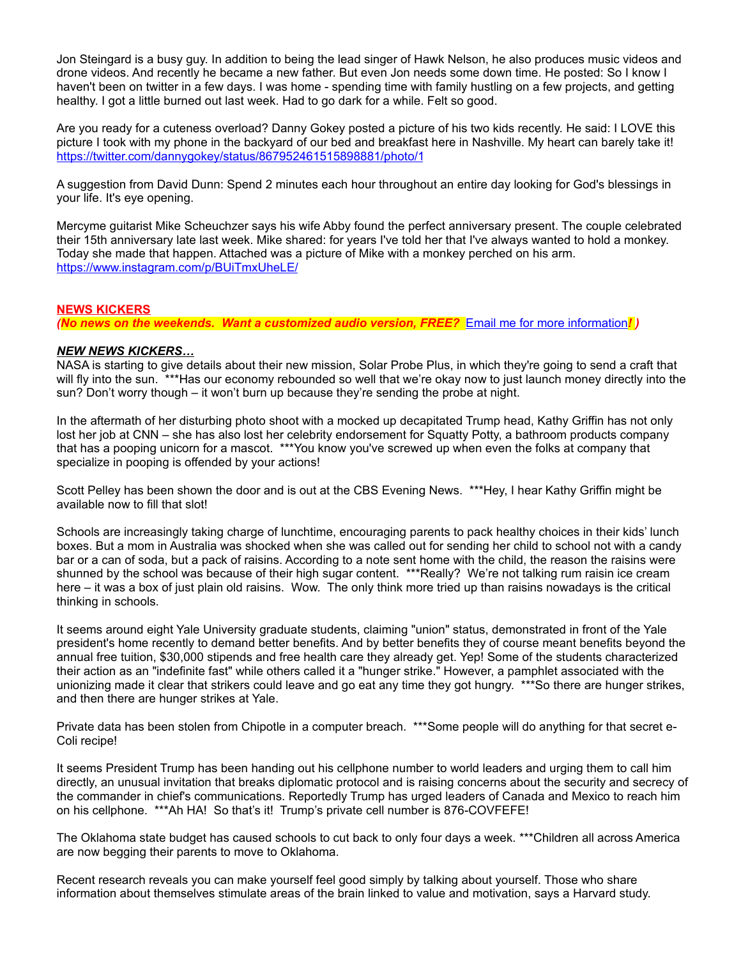Jon Steingard is a busy guy. In addition to being the lead singer of Hawk Nelson, he also produces music videos and drone videos. And recently he became a new father. But even Jon needs some down time. He posted: So I know I haven't been on twitter in a few days. I was home - spending time with family hustling on a few projects, and getting healthy. I got a little burned out last week. Had to go dark for a while. Felt so good.

Are you ready for a cuteness overload? Danny Gokey posted a picture of his two kids recently. He said: I LOVE this picture I took with my phone in the backyard of our bed and breakfast here in Nashville. My heart can barely take it! <https://twitter.com/dannygokey/status/867952461515898881/photo/1>

A suggestion from David Dunn: Spend 2 minutes each hour throughout an entire day looking for God's blessings in your life. It's eye opening.

Mercyme guitarist Mike Scheuchzer says his wife Abby found the perfect anniversary present. The couple celebrated their 15th anniversary late last week. Mike shared: for years I've told her that I've always wanted to hold a monkey. Today she made that happen. Attached was a picture of Mike with a monkey perched on his arm. <https://www.instagram.com/p/BUiTmxUheLE/>

# **NEWS KICKERS**

*(No news on the weekends. Want a customized audio version, FREE?* [Email me for more information](mailto:darren@onairprep.com?subject=Customized%20DDWN)*! )*

## *NEW NEWS KICKERS…*

NASA is starting to give details about their new mission, Solar Probe Plus, in which they're going to send a craft that will fly into the sun. \*\*\*Has our economy rebounded so well that we're okay now to just launch money directly into the sun? Don't worry though – it won't burn up because they're sending the probe at night.

In the aftermath of her disturbing photo shoot with a mocked up decapitated Trump head, Kathy Griffin has not only lost her job at CNN – she has also lost her celebrity endorsement for Squatty Potty, a bathroom products company that has a pooping unicorn for a mascot. \*\*\*You know you've screwed up when even the folks at company that specialize in pooping is offended by your actions!

Scott Pelley has been shown the door and is out at the CBS Evening News. \*\*\*Hey, I hear Kathy Griffin might be available now to fill that slot!

Schools are increasingly taking charge of lunchtime, encouraging parents to pack healthy choices in their kids' lunch boxes. But a mom in Australia was shocked when she was called out for sending her child to school not with a candy bar or a can of soda, but a pack of raisins. According to a note sent home with the child, the reason the raisins were shunned by the school was because of their high sugar content. \*\*\*Really? We're not talking rum raisin ice cream here – it was a box of just plain old raisins. Wow. The only think more tried up than raisins nowadays is the critical thinking in schools.

It seems around eight Yale University graduate students, claiming "union" status, demonstrated in front of the Yale president's home recently to demand better benefits. And by better benefits they of course meant benefits beyond the annual free tuition, \$30,000 stipends and free health care they already get. Yep! Some of the students characterized their action as an "indefinite fast" while others called it a "hunger strike." However, a pamphlet associated with the unionizing made it clear that strikers could leave and go eat any time they got hungry. \*\*\*So there are hunger strikes, and then there are hunger strikes at Yale.

Private data has been stolen from Chipotle in a computer breach. \*\*\*Some people will do anything for that secret e-Coli recipe!

It seems President Trump has been handing out his cellphone number to world leaders and urging them to call him directly, an unusual invitation that breaks diplomatic protocol and is raising concerns about the security and secrecy of the commander in chief's communications. Reportedly Trump has urged leaders of Canada and Mexico to reach him on his cellphone. \*\*\*Ah HA! So that's it! Trump's private cell number is 876-COVFEFE!

The Oklahoma state budget has caused schools to cut back to only four days a week. \*\*\*Children all across America are now begging their parents to move to Oklahoma.

Recent research reveals you can make yourself feel good simply by talking about yourself. Those who share information about themselves stimulate areas of the brain linked to value and motivation, says a Harvard study.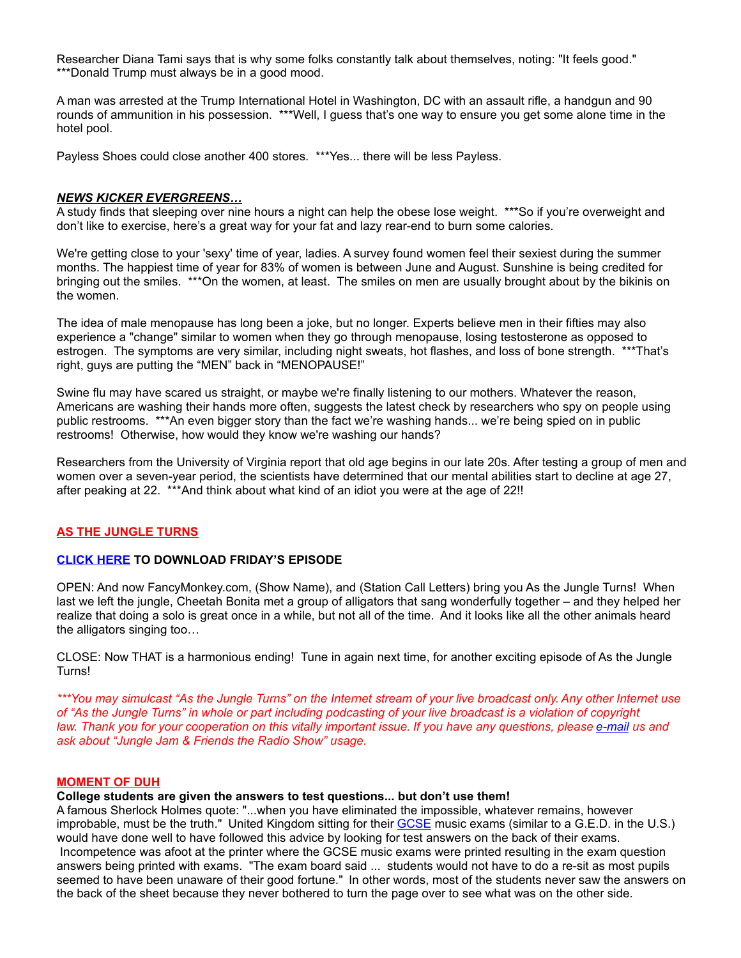Researcher Diana Tami says that is why some folks constantly talk about themselves, noting: "It feels good." \*\*\*Donald Trump must always be in a good mood.

A man was arrested at the Trump International Hotel in Washington, DC with an assault rifle, a handgun and 90 rounds of ammunition in his possession. \*\*\*Well, I guess that's one way to ensure you get some alone time in the hotel pool.

Payless Shoes could close another 400 stores. \*\*\*Yes... there will be less Payless.

#### *NEWS KICKER EVERGREENS…*

A study finds that sleeping over nine hours a night can help the obese lose weight. \*\*\*So if you're overweight and don't like to exercise, here's a great way for your fat and lazy rear-end to burn some calories.

We're getting close to your 'sexy' time of year, ladies. A survey found women feel their sexiest during the summer months. The happiest time of year for 83% of women is between June and August. Sunshine is being credited for bringing out the smiles. \*\*\*On the women, at least. The smiles on men are usually brought about by the bikinis on the women.

The idea of male menopause has long been a joke, but no longer. Experts believe men in their fifties may also experience a "change" similar to women when they go through menopause, losing testosterone as opposed to estrogen. The symptoms are very similar, including night sweats, hot flashes, and loss of bone strength. \*\*\*That's right, guys are putting the "MEN" back in "MENOPAUSE!"

Swine flu may have scared us straight, or maybe we're finally listening to our mothers. Whatever the reason, Americans are washing their hands more often, suggests the latest check by researchers who spy on people using public restrooms. \*\*\*An even bigger story than the fact we're washing hands... we're being spied on in public restrooms! Otherwise, how would they know we're washing our hands?

Researchers from the University of Virginia report that old age begins in our late 20s. After testing a group of men and women over a seven-year period, the scientists have determined that our mental abilities start to decline at age 27, after peaking at 22. \*\*\*And think about what kind of an idiot you were at the age of 22!!

## **AS THE JUNGLE TURNS**

# **[CLICK HERE](http://www.darrenmarlar.com/audio/AsTheJungleTurns/MMJJ0084.mp3) TO DOWNLOAD FRIDAY'S EPISODE**

OPEN: And now FancyMonkey.com, (Show Name), and (Station Call Letters) bring you As the Jungle Turns! When last we left the jungle, Cheetah Bonita met a group of alligators that sang wonderfully together – and they helped her realize that doing a solo is great once in a while, but not all of the time. And it looks like all the other animals heard the alligators singing too…

CLOSE: Now THAT is a harmonious ending! Tune in again next time, for another exciting episode of As the Jungle Turns!

*\*\*\*You may simulcast "As the Jungle Turns" on the Internet stream of your live broadcast only. Any other Internet use of "As the Jungle Turns" in whole or part including podcasting of your live broadcast is a violation of copyright law. Thank you for your cooperation on this vitally important issue. If you have any questions, please [e-mail](mailto:radio@fancymonkey.com?subject=Internet%20Use) us and ask about "Jungle Jam & Friends the Radio Show" usage.*

#### **MOMENT OF DUH**

#### **College students are given the answers to test questions... but don't use them!**

A famous Sherlock Holmes quote: "...when you have eliminated the impossible, whatever remains, however improbable, must be the truth." United Kingdom sitting for their [GCSE](http://en.wikipedia.org/wiki/General_Certificate_of_Secondary_Education) music exams (similar to a G.E.D. in the U.S.) would have done well to have followed this advice by looking for test answers on the back of their exams. Incompetence was afoot at the printer where the GCSE music exams were printed resulting in the exam question answers being printed with exams. "The exam board said ... students would not have to do a re-sit as most pupils seemed to have been unaware of their good fortune." In other words, most of the students never saw the answers on the back of the sheet because they never bothered to turn the page over to see what was on the other side.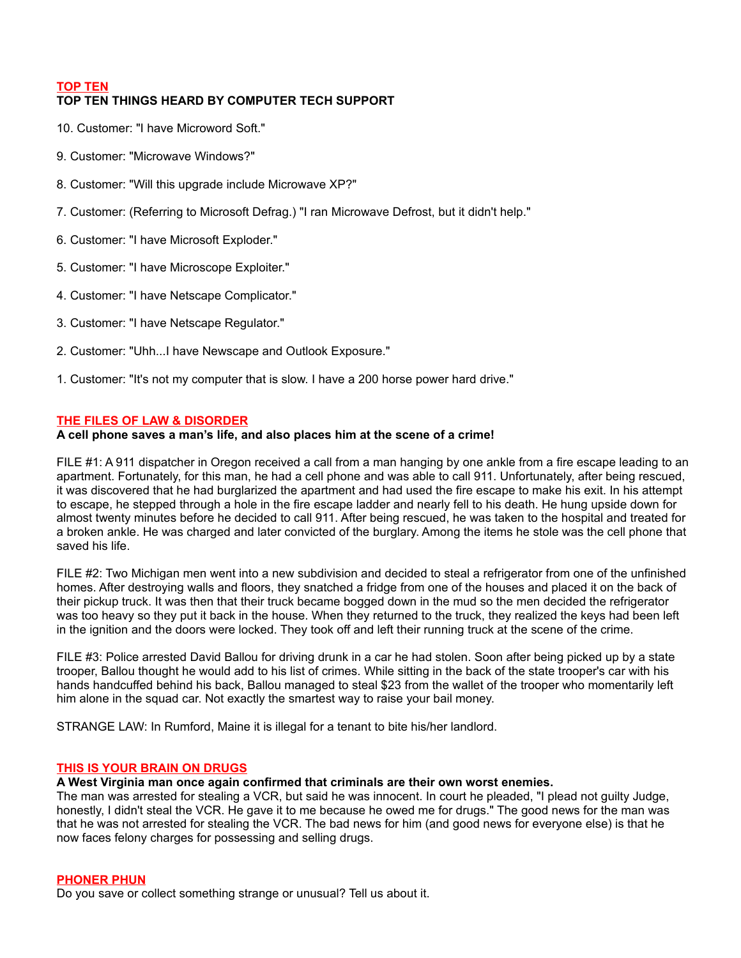# **TOP TEN**

# **TOP TEN THINGS HEARD BY COMPUTER TECH SUPPORT**

- 10. Customer: "I have Microword Soft."
- 9. Customer: "Microwave Windows?"
- 8. Customer: "Will this upgrade include Microwave XP?"
- 7. Customer: (Referring to Microsoft Defrag.) "I ran Microwave Defrost, but it didn't help."
- 6. Customer: "I have Microsoft Exploder."
- 5. Customer: "I have Microscope Exploiter."
- 4. Customer: "I have Netscape Complicator."
- 3. Customer: "I have Netscape Regulator."
- 2. Customer: "Uhh...I have Newscape and Outlook Exposure."
- 1. Customer: "It's not my computer that is slow. I have a 200 horse power hard drive."

# **THE FILES OF LAW & DISORDER**

## **A cell phone saves a man's life, and also places him at the scene of a crime!**

FILE #1: A 911 dispatcher in Oregon received a call from a man hanging by one ankle from a fire escape leading to an apartment. Fortunately, for this man, he had a cell phone and was able to call 911. Unfortunately, after being rescued, it was discovered that he had burglarized the apartment and had used the fire escape to make his exit. In his attempt to escape, he stepped through a hole in the fire escape ladder and nearly fell to his death. He hung upside down for almost twenty minutes before he decided to call 911. After being rescued, he was taken to the hospital and treated for a broken ankle. He was charged and later convicted of the burglary. Among the items he stole was the cell phone that saved his life.

FILE #2: Two Michigan men went into a new subdivision and decided to steal a refrigerator from one of the unfinished homes. After destroying walls and floors, they snatched a fridge from one of the houses and placed it on the back of their pickup truck. It was then that their truck became bogged down in the mud so the men decided the refrigerator was too heavy so they put it back in the house. When they returned to the truck, they realized the keys had been left in the ignition and the doors were locked. They took off and left their running truck at the scene of the crime.

FILE #3: Police arrested David Ballou for driving drunk in a car he had stolen. Soon after being picked up by a state trooper, Ballou thought he would add to his list of crimes. While sitting in the back of the state trooper's car with his hands handcuffed behind his back, Ballou managed to steal \$23 from the wallet of the trooper who momentarily left him alone in the squad car. Not exactly the smartest way to raise your bail money.

STRANGE LAW: In Rumford, Maine it is illegal for a tenant to bite his/her landlord.

## **THIS IS YOUR BRAIN ON DRUGS**

## **A West Virginia man once again confirmed that criminals are their own worst enemies.**

The man was arrested for stealing a VCR, but said he was innocent. In court he pleaded, "I plead not guilty Judge, honestly, I didn't steal the VCR. He gave it to me because he owed me for drugs." The good news for the man was that he was not arrested for stealing the VCR. The bad news for him (and good news for everyone else) is that he now faces felony charges for possessing and selling drugs.

## **PHONER PHUN**

Do you save or collect something strange or unusual? Tell us about it.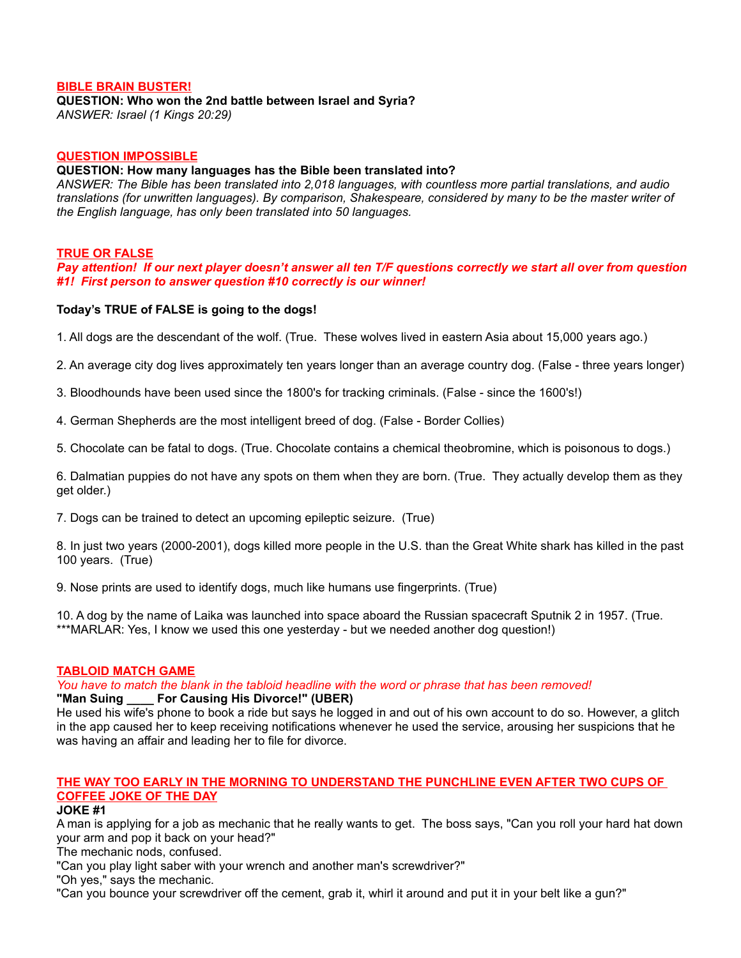## **BIBLE BRAIN BUSTER!**

#### **QUESTION: Who won the 2nd battle between Israel and Syria?**

*ANSWER: Israel (1 Kings 20:29)*

## **QUESTION IMPOSSIBLE**

#### **QUESTION: How many languages has the Bible been translated into?**

*ANSWER: The Bible has been translated into 2,018 languages, with countless more partial translations, and audio translations (for unwritten languages). By comparison, Shakespeare, considered by many to be the master writer of the English language, has only been translated into 50 languages.*

## **TRUE OR FALSE**

*Pay attention! If our next player doesn't answer all ten T/F questions correctly we start all over from question #1! First person to answer question #10 correctly is our winner!*

# **Today's TRUE of FALSE is going to the dogs!**

1. All dogs are the descendant of the wolf. (True. These wolves lived in eastern Asia about 15,000 years ago.)

2. An average city dog lives approximately ten years longer than an average country dog. (False - three years longer)

3. Bloodhounds have been used since the 1800's for tracking criminals. (False - since the 1600's!)

4. German Shepherds are the most intelligent breed of dog. (False - Border Collies)

5. Chocolate can be fatal to dogs. (True. Chocolate contains a chemical theobromine, which is poisonous to dogs.)

6. Dalmatian puppies do not have any spots on them when they are born. (True. They actually develop them as they get older.)

7. Dogs can be trained to detect an upcoming epileptic seizure. (True)

8. In just two years (2000-2001), dogs killed more people in the U.S. than the Great White shark has killed in the past 100 years. (True)

9. Nose prints are used to identify dogs, much like humans use fingerprints. (True)

10. A dog by the name of Laika was launched into space aboard the Russian spacecraft Sputnik 2 in 1957. (True. \*\*\*MARLAR: Yes, I know we used this one yesterday - but we needed another dog question!)

## **TABLOID MATCH GAME**

*You have to match the blank in the tabloid headline with the word or phrase that has been removed!*

## **For Causing His Divorce!" (UBER)**

He used his wife's phone to book a ride but says he logged in and out of his own account to do so. However, a glitch in the app caused her to keep receiving notifications whenever he used the service, arousing her suspicions that he was having an affair and leading her to file for divorce.

# **THE WAY TOO EARLY IN THE MORNING TO UNDERSTAND THE PUNCHLINE EVEN AFTER TWO CUPS OF COFFEE JOKE OF THE DAY**

#### **JOKE #1**

A man is applying for a job as mechanic that he really wants to get. The boss says, "Can you roll your hard hat down your arm and pop it back on your head?"

The mechanic nods, confused.

"Can you play light saber with your wrench and another man's screwdriver?"

"Oh yes," says the mechanic.

"Can you bounce your screwdriver off the cement, grab it, whirl it around and put it in your belt like a gun?"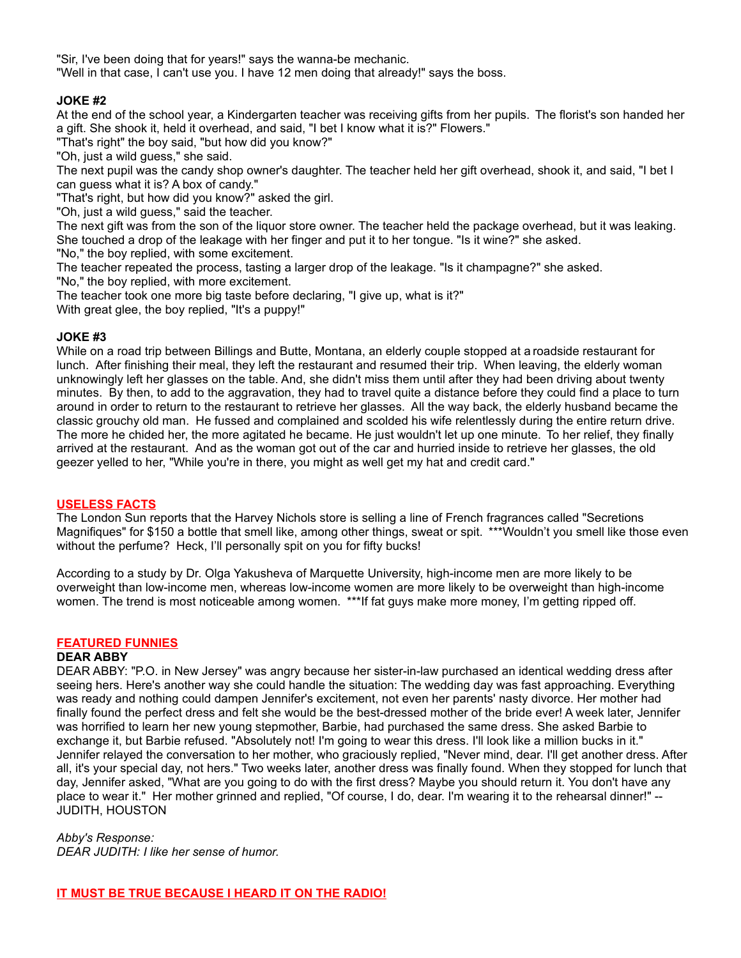"Sir, I've been doing that for years!" says the wanna-be mechanic.

"Well in that case, I can't use you. I have 12 men doing that already!" says the boss.

# **JOKE #2**

At the end of the school year, a Kindergarten teacher was receiving gifts from her pupils. The florist's son handed her a gift. She shook it, held it overhead, and said, "I bet I know what it is?" Flowers."

"That's right" the boy said, "but how did you know?"

"Oh, just a wild guess," she said.

The next pupil was the candy shop owner's daughter. The teacher held her gift overhead, shook it, and said, "I bet I can guess what it is? A box of candy."

"That's right, but how did you know?" asked the girl.

"Oh, just a wild guess," said the teacher.

The next gift was from the son of the liquor store owner. The teacher held the package overhead, but it was leaking. She touched a drop of the leakage with her finger and put it to her tongue. "Is it wine?" she asked.

"No," the boy replied, with some excitement.

The teacher repeated the process, tasting a larger drop of the leakage. "Is it champagne?" she asked. "No," the boy replied, with more excitement.

The teacher took one more big taste before declaring, "I give up, what is it?"

With great glee, the boy replied, "It's a puppy!"

# **JOKE #3**

While on a road trip between Billings and Butte, Montana, an elderly couple stopped at aroadside restaurant for lunch. After finishing their meal, they left the restaurant and resumed their trip. When leaving, the elderly woman unknowingly left her glasses on the table. And, she didn't miss them until after they had been driving about twenty minutes. By then, to add to the aggravation, they had to travel quite a distance before they could find a place to turn around in order to return to the restaurant to retrieve her glasses. All the way back, the elderly husband became the classic grouchy old man. He fussed and complained and scolded his wife relentlessly during the entire return drive. The more he chided her, the more agitated he became. He just wouldn't let up one minute. To her relief, they finally arrived at the restaurant. And as the woman got out of the car and hurried inside to retrieve her glasses, the old geezer yelled to her, "While you're in there, you might as well get my hat and credit card."

## **USELESS FACTS**

The London Sun reports that the Harvey Nichols store is selling a line of French fragrances called "Secretions Magnifiques" for \$150 a bottle that smell like, among other things, sweat or spit. \*\*\*Wouldn't you smell like those even without the perfume? Heck, I'll personally spit on you for fifty bucks!

According to a study by Dr. Olga Yakusheva of Marquette University, high-income men are more likely to be overweight than low-income men, whereas low-income women are more likely to be overweight than high-income women. The trend is most noticeable among women. \*\*\*If fat guys make more money, I'm getting ripped off.

## **FEATURED FUNNIES**

## **DEAR ABBY**

DEAR ABBY: "P.O. in New Jersey" was angry because her sister-in-law purchased an identical wedding dress after seeing hers. Here's another way she could handle the situation: The wedding day was fast approaching. Everything was ready and nothing could dampen Jennifer's excitement, not even her parents' nasty divorce. Her mother had finally found the perfect dress and felt she would be the best-dressed mother of the bride ever! A week later, Jennifer was horrified to learn her new young stepmother, Barbie, had purchased the same dress. She asked Barbie to exchange it, but Barbie refused. "Absolutely not! I'm going to wear this dress. I'll look like a million bucks in it." Jennifer relayed the conversation to her mother, who graciously replied, "Never mind, dear. I'll get another dress. After all, it's your special day, not hers." Two weeks later, another dress was finally found. When they stopped for lunch that day, Jennifer asked, "What are you going to do with the first dress? Maybe you should return it. You don't have any place to wear it." Her mother grinned and replied, "Of course, I do, dear. I'm wearing it to the rehearsal dinner!" -- JUDITH, HOUSTON

## *Abby's Response:*

*DEAR JUDITH: I like her sense of humor.*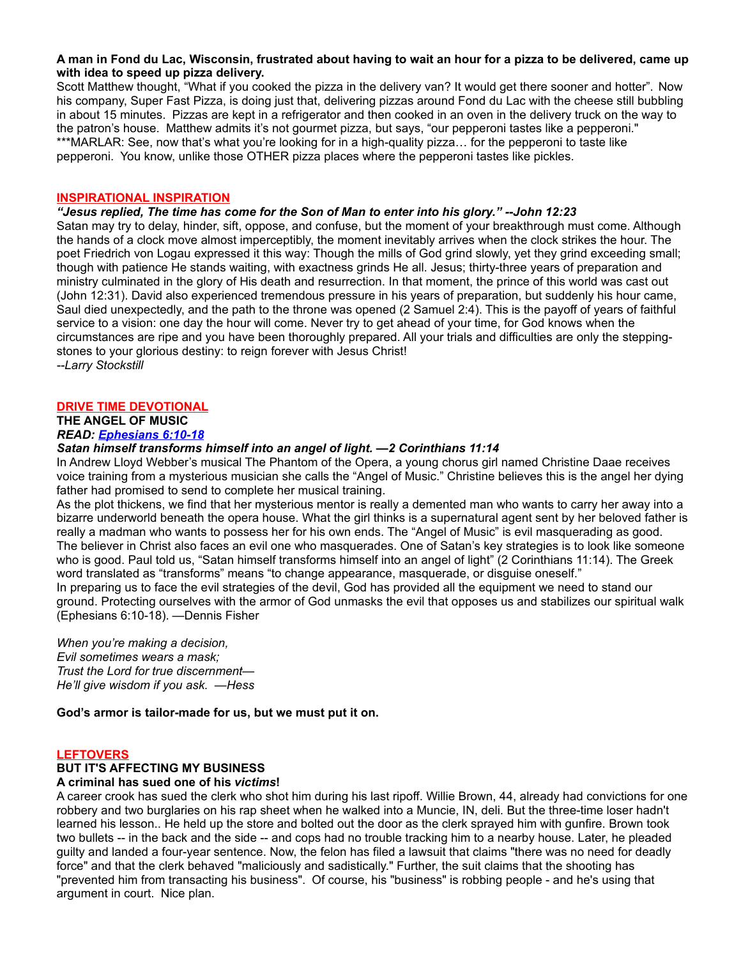#### **A man in Fond du Lac, Wisconsin, frustrated about having to wait an hour for a pizza to be delivered, came up with idea to speed up pizza delivery.**

Scott Matthew thought, "What if you cooked the pizza in the delivery van? It would get there sooner and hotter". Now his company, Super Fast Pizza, is doing just that, delivering pizzas around Fond du Lac with the cheese still bubbling in about 15 minutes. Pizzas are kept in a refrigerator and then cooked in an oven in the delivery truck on the way to the patron's house. Matthew admits it's not gourmet pizza, but says, "our pepperoni tastes like a pepperoni." \*\*\*MARLAR: See, now that's what you're looking for in a high-quality pizza... for the pepperoni to taste like pepperoni. You know, unlike those OTHER pizza places where the pepperoni tastes like pickles.

#### **INSPIRATIONAL INSPIRATION**

#### *"Jesus replied, The time has come for the Son of Man to enter into his glory." --John 12:23*

Satan may try to delay, hinder, sift, oppose, and confuse, but the moment of your breakthrough must come. Although the hands of a clock move almost imperceptibly, the moment inevitably arrives when the clock strikes the hour. The poet Friedrich von Logau expressed it this way: Though the mills of God grind slowly, yet they grind exceeding small; though with patience He stands waiting, with exactness grinds He all. Jesus; thirty-three years of preparation and ministry culminated in the glory of His death and resurrection. In that moment, the prince of this world was cast out (John 12:31). David also experienced tremendous pressure in his years of preparation, but suddenly his hour came, Saul died unexpectedly, and the path to the throne was opened (2 Samuel 2:4). This is the payoff of years of faithful service to a vision: one day the hour will come. Never try to get ahead of your time, for God knows when the circumstances are ripe and you have been thoroughly prepared. All your trials and difficulties are only the steppingstones to your glorious destiny: to reign forever with Jesus Christ! *--Larry Stockstill*

## **DRIVE TIME DEVOTIONAL**

# **THE ANGEL OF MUSIC**

#### *READ: [Ephesians 6:10-18](http://bible.gospelcom.net/bible?language=english&version=NIV&passage=Ephesians+6%3A10-18)*

#### *Satan himself transforms himself into an angel of light. —2 Corinthians 11:14*

In Andrew Lloyd Webber's musical The Phantom of the Opera, a young chorus girl named Christine Daae receives voice training from a mysterious musician she calls the "Angel of Music." Christine believes this is the angel her dying father had promised to send to complete her musical training.

As the plot thickens, we find that her mysterious mentor is really a demented man who wants to carry her away into a bizarre underworld beneath the opera house. What the girl thinks is a supernatural agent sent by her beloved father is really a madman who wants to possess her for his own ends. The "Angel of Music" is evil masquerading as good. The believer in Christ also faces an evil one who masquerades. One of Satan's key strategies is to look like someone who is good. Paul told us, "Satan himself transforms himself into an angel of light" (2 Corinthians 11:14). The Greek word translated as "transforms" means "to change appearance, masquerade, or disguise oneself."

In preparing us to face the evil strategies of the devil, God has provided all the equipment we need to stand our ground. Protecting ourselves with the armor of God unmasks the evil that opposes us and stabilizes our spiritual walk (Ephesians 6:10-18). —Dennis Fisher

*When you're making a decision, Evil sometimes wears a mask; Trust the Lord for true discernment— He'll give wisdom if you ask. —Hess*

**God's armor is tailor-made for us, but we must put it on.**

#### **LEFTOVERS**

## **BUT IT'S AFFECTING MY BUSINESS**

#### **A criminal has sued one of his** *victims***!**

A career crook has sued the clerk who shot him during his last ripoff. Willie Brown, 44, already had convictions for one robbery and two burglaries on his rap sheet when he walked into a Muncie, IN, deli. But the three-time loser hadn't learned his lesson.. He held up the store and bolted out the door as the clerk sprayed him with gunfire. Brown took two bullets -- in the back and the side -- and cops had no trouble tracking him to a nearby house. Later, he pleaded guilty and landed a four-year sentence. Now, the felon has filed a lawsuit that claims "there was no need for deadly force" and that the clerk behaved "maliciously and sadistically." Further, the suit claims that the shooting has "prevented him from transacting his business". Of course, his "business" is robbing people - and he's using that argument in court. Nice plan.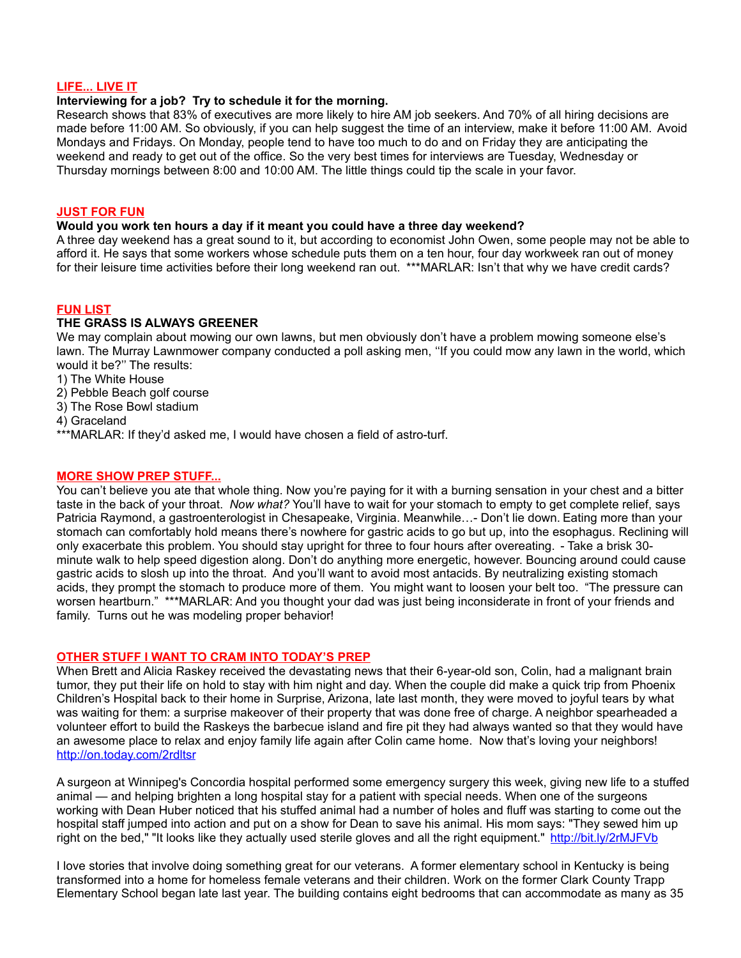# **LIFE... LIVE IT**

# **Interviewing for a job? Try to schedule it for the morning.**

Research shows that 83% of executives are more likely to hire AM job seekers. And 70% of all hiring decisions are made before 11:00 AM. So obviously, if you can help suggest the time of an interview, make it before 11:00 AM. Avoid Mondays and Fridays. On Monday, people tend to have too much to do and on Friday they are anticipating the weekend and ready to get out of the office. So the very best times for interviews are Tuesday, Wednesday or Thursday mornings between 8:00 and 10:00 AM. The little things could tip the scale in your favor.

#### **JUST FOR FUN**

#### **Would you work ten hours a day if it meant you could have a three day weekend?**

A three day weekend has a great sound to it, but according to economist John Owen, some people may not be able to afford it. He says that some workers whose schedule puts them on a ten hour, four day workweek ran out of money for their leisure time activities before their long weekend ran out. \*\*\*MARLAR: Isn't that why we have credit cards?

# **FUN LIST**

# **THE GRASS IS ALWAYS GREENER**

We may complain about mowing our own lawns, but men obviously don't have a problem mowing someone else's lawn. The Murray Lawnmower company conducted a poll asking men, ''If you could mow any lawn in the world, which would it be?'' The results:

- 1) The White House
- 2) Pebble Beach golf course
- 3) The Rose Bowl stadium
- 4) Graceland
- \*\*\*MARLAR: If they'd asked me, I would have chosen a field of astro-turf.

#### **MORE SHOW PREP STUFF...**

You can't believe you ate that whole thing. Now you're paying for it with a burning sensation in your chest and a bitter taste in the back of your throat. *Now what?* You'll have to wait for your stomach to empty to get complete relief, says Patricia Raymond, a gastroenterologist in Chesapeake, Virginia. Meanwhile…- Don't lie down. Eating more than your stomach can comfortably hold means there's nowhere for gastric acids to go but up, into the esophagus. Reclining will only exacerbate this problem. You should stay upright for three to four hours after overeating. - Take a brisk 30 minute walk to help speed digestion along. Don't do anything more energetic, however. Bouncing around could cause gastric acids to slosh up into the throat. And you'll want to avoid most antacids. By neutralizing existing stomach acids, they prompt the stomach to produce more of them. You might want to loosen your belt too. "The pressure can worsen heartburn." \*\*\*MARLAR: And you thought your dad was just being inconsiderate in front of your friends and family. Turns out he was modeling proper behavior!

## **OTHER STUFF I WANT TO CRAM INTO TODAY'S PREP**

When Brett and Alicia Raskey received the devastating news that their 6-year-old son, Colin, had a malignant brain tumor, they put their life on hold to stay with him night and day. When the couple did make a quick trip from Phoenix Children's Hospital back to their home in Surprise, Arizona, late last month, they were moved to joyful tears by what was waiting for them: a surprise makeover of their property that was done free of charge. A neighbor spearheaded a volunteer effort to build the Raskeys the barbecue island and fire pit they had always wanted so that they would have an awesome place to relax and enjoy family life again after Colin came home. Now that's loving your neighbors! <http://on.today.com/2rdltsr>

A surgeon at Winnipeg's Concordia hospital performed some emergency surgery this week, giving new life to a stuffed animal — and helping brighten a long hospital stay for a patient with special needs. When one of the surgeons working with Dean Huber noticed that his stuffed animal had a number of holes and fluff was starting to come out the hospital staff jumped into action and put on a show for Dean to save his animal. His mom says: "They sewed him up right on the bed," "It looks like they actually used sterile gloves and all the right equipment." <http://bit.ly/2rMJFVb>

I love stories that involve doing something great for our veterans. A former elementary school in Kentucky is being transformed into a home for homeless female veterans and their children. Work on the former Clark County Trapp Elementary School began late last year. The building contains eight bedrooms that can accommodate as many as 35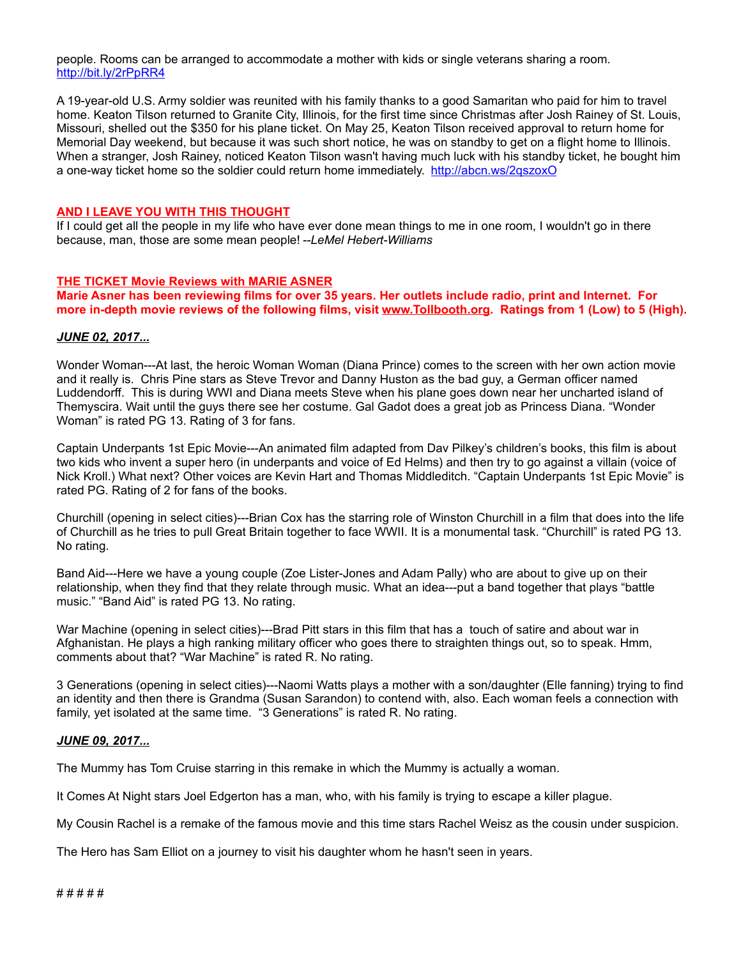people. Rooms can be arranged to accommodate a mother with kids or single veterans sharing a room. <http://bit.ly/2rPpRR4>

A 19-year-old U.S. Army soldier was reunited with his family thanks to a good Samaritan who paid for him to travel home. Keaton Tilson returned to Granite City, Illinois, for the first time since Christmas after Josh Rainey of St. Louis, Missouri, shelled out the \$350 for his plane ticket. On May 25, Keaton Tilson received approval to return home for Memorial Day weekend, but because it was such short notice, he was on standby to get on a flight home to Illinois. When a stranger, Josh Rainey, noticed Keaton Tilson wasn't having much luck with his standby ticket, he bought him a one-way ticket home so the soldier could return home immediately. <http://abcn.ws/2qszoxO>

#### **AND I LEAVE YOU WITH THIS THOUGHT**

If I could get all the people in my life who have ever done mean things to me in one room, I wouldn't go in there because, man, those are some mean people! *--LeMel Hebert-Williams*

#### **THE TICKET Movie Reviews with MARIE ASNER**

**Marie Asner has been reviewing films for over 35 years. Her outlets include radio, print and Internet. For more in-depth movie reviews of the following films, visit [www.Tollbooth.org.](http://www.tollbooth.org/index.php/home/movie-reviews) Ratings from 1 (Low) to 5 (High).**

#### *JUNE 02, 2017...*

Wonder Woman---At last, the heroic Woman Woman (Diana Prince) comes to the screen with her own action movie and it really is. Chris Pine stars as Steve Trevor and Danny Huston as the bad guy, a German officer named Luddendorff. This is during WWI and Diana meets Steve when his plane goes down near her uncharted island of Themyscira. Wait until the guys there see her costume. Gal Gadot does a great job as Princess Diana. "Wonder Woman" is rated PG 13. Rating of 3 for fans.

Captain Underpants 1st Epic Movie---An animated film adapted from Dav Pilkey's children's books, this film is about two kids who invent a super hero (in underpants and voice of Ed Helms) and then try to go against a villain (voice of Nick Kroll.) What next? Other voices are Kevin Hart and Thomas Middleditch. "Captain Underpants 1st Epic Movie" is rated PG. Rating of 2 for fans of the books.

Churchill (opening in select cities)---Brian Cox has the starring role of Winston Churchill in a film that does into the life of Churchill as he tries to pull Great Britain together to face WWII. It is a monumental task. "Churchill" is rated PG 13. No rating.

Band Aid---Here we have a young couple (Zoe Lister-Jones and Adam Pally) who are about to give up on their relationship, when they find that they relate through music. What an idea---put a band together that plays "battle music." "Band Aid" is rated PG 13. No rating.

War Machine (opening in select cities)---Brad Pitt stars in this film that has a touch of satire and about war in Afghanistan. He plays a high ranking military officer who goes there to straighten things out, so to speak. Hmm, comments about that? "War Machine" is rated R. No rating.

3 Generations (opening in select cities)---Naomi Watts plays a mother with a son/daughter (Elle fanning) trying to find an identity and then there is Grandma (Susan Sarandon) to contend with, also. Each woman feels a connection with family, yet isolated at the same time. "3 Generations" is rated R. No rating.

#### *JUNE 09, 2017...*

The Mummy has Tom Cruise starring in this remake in which the Mummy is actually a woman.

It Comes At Night stars Joel Edgerton has a man, who, with his family is trying to escape a killer plague.

My Cousin Rachel is a remake of the famous movie and this time stars Rachel Weisz as the cousin under suspicion.

The Hero has Sam Elliot on a journey to visit his daughter whom he hasn't seen in years.